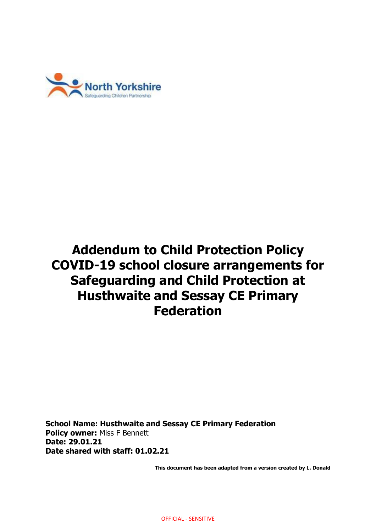

# **Addendum to Child Protection Policy COVID-19 school closure arrangements for Safeguarding and Child Protection at Husthwaite and Sessay CE Primary Federation**

**School Name: Husthwaite and Sessay CE Primary Federation Policy owner:** Miss F Bennett **Date: 29.01.21 Date shared with staff: 01.02.21**

**This document has been adapted from a version created by L. Donald**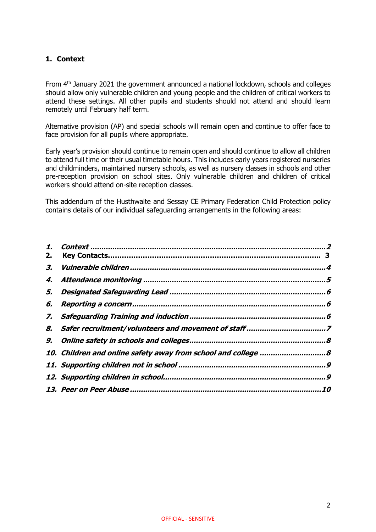# <span id="page-1-0"></span>**1. Context**

From 4<sup>th</sup> January 2021 the government announced a national lockdown, schools and colleges should allow only vulnerable children and young people and the children of critical workers to attend these settings. All other pupils and students should not attend and should learn remotely until February half term.

Alternative provision (AP) and special schools will remain open and continue to offer face to face provision for all pupils where appropriate.

Early year's provision should continue to remain open and should continue to allow all children to attend full time or their usual timetable hours. This includes early years registered nurseries and childminders, maintained nursery schools, as well as nursery classes in schools and other pre-reception provision on school sites. Only vulnerable children and children of critical workers should attend on-site reception classes.

This addendum of the Husthwaite and Sessay CE Primary Federation Child Protection policy contains details of our individual safeguarding arrangements in the following areas:

| 2. |  |
|----|--|
| З. |  |
| 4. |  |
| 5. |  |
| 6. |  |
|    |  |
|    |  |
|    |  |
|    |  |
|    |  |
|    |  |
|    |  |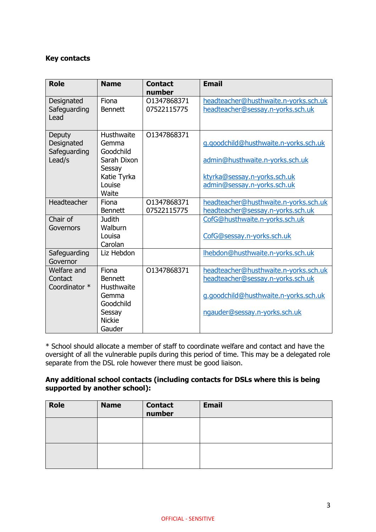## **Key contacts**

| <b>Role</b>                                    | <b>Name</b>                                                                                      | <b>Contact</b><br>number   | <b>Email</b>                                                                                                                                         |
|------------------------------------------------|--------------------------------------------------------------------------------------------------|----------------------------|------------------------------------------------------------------------------------------------------------------------------------------------------|
| Designated<br>Safeguarding<br>Lead             | Fiona<br><b>Bennett</b>                                                                          | 01347868371<br>07522115775 | headteacher@husthwaite.n-yorks.sch.uk<br>headteacher@sessay.n-yorks.sch.uk                                                                           |
| Deputy<br>Designated<br>Safeguarding<br>Lead/s | Husthwaite<br>Gemma<br>Goodchild<br>Sarah Dixon<br>Sessay<br>Katie Tyrka<br>Louise<br>Waite      | 01347868371                | g.goodchild@husthwaite.n-yorks.sch.uk<br>admin@husthwaite.n-yorks.sch.uk<br>ktyrka@sessay.n-yorks.sch.uk<br>admin@sessay.n-yorks.sch.uk              |
| Headteacher                                    | Fiona<br><b>Bennett</b>                                                                          | 01347868371<br>07522115775 | headteacher@husthwaite.n-yorks.sch.uk<br>headteacher@sessay.n-yorks.sch.uk                                                                           |
| Chair of<br>Governors                          | <b>Judith</b><br>Walburn<br>Louisa<br>Carolan                                                    |                            | CofG@husthwaite.n-yorks.sch.uk<br>CofG@sessay.n-yorks.sch.uk                                                                                         |
| Safeguarding<br>Governor                       | Liz Hebdon                                                                                       |                            | Ihebdon@husthwaite.n-yorks.sch.uk                                                                                                                    |
| Welfare and<br>Contact<br>Coordinator *        | Fiona<br><b>Bennett</b><br>Husthwaite<br>Gemma<br>Goodchild<br>Sessay<br><b>Nickie</b><br>Gauder | 01347868371                | headteacher@husthwaite.n-yorks.sch.uk<br>headteacher@sessay.n-yorks.sch.uk<br>g.goodchild@husthwaite.n-yorks.sch.uk<br>ngauder@sessay.n-yorks.sch.uk |

\* School should allocate a member of staff to coordinate welfare and contact and have the oversight of all the vulnerable pupils during this period of time. This may be a delegated role separate from the DSL role however there must be good liaison.

# **Any additional school contacts (including contacts for DSLs where this is being supported by another school):**

| <b>Role</b> | <b>Name</b> | <b>Contact</b><br>number | <b>Email</b> |
|-------------|-------------|--------------------------|--------------|
|             |             |                          |              |
|             |             |                          |              |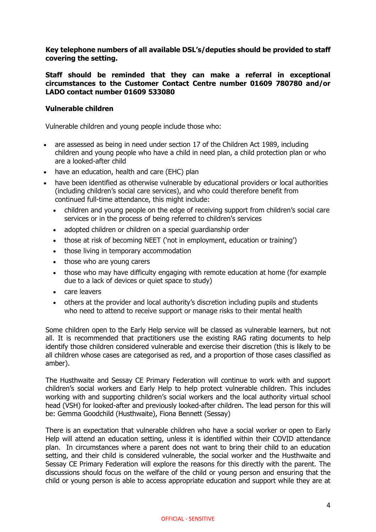**Key telephone numbers of all available DSL's/deputies should be provided to staff covering the setting.**

<span id="page-3-0"></span>**Staff should be reminded that they can make a referral in exceptional circumstances to the Customer Contact Centre number 01609 780780 and/or LADO contact number 01609 533080**

#### **Vulnerable children**

Vulnerable children and young people include those who:

- are assessed as being in need under section 17 of the Children Act 1989, including children and young people who have a child in need plan, a child protection plan or who are a looked-after child
- have an education, health and care (EHC) plan
- have been identified as otherwise vulnerable by educational providers or local authorities (including children's social care services), and who could therefore benefit from continued full-time attendance, this might include:
	- children and young people on the edge of receiving support from children's social care services or in the process of being referred to children's services
	- adopted children or children on a special guardianship order
	- those at risk of becoming NEET ('not in employment, education or training')
	- those living in temporary accommodation
	- those who are young carers
	- those who may have difficulty engaging with remote education at home (for example due to a lack of devices or quiet space to study)
	- care leavers
	- others at the provider and local authority's discretion including pupils and students who need to attend to receive support or manage risks to their mental health

Some children open to the Early Help service will be classed as vulnerable learners, but not all. It is recommended that practitioners use the existing RAG rating documents to help identify those children considered vulnerable and exercise their discretion (this is likely to be all children whose cases are categorised as red, and a proportion of those cases classified as amber).

The Husthwaite and Sessay CE Primary Federation will continue to work with and support children's social workers and Early Help to help protect vulnerable children. This includes working with and supporting children's social workers and the local authority virtual school head (VSH) for looked-after and previously looked-after children. The lead person for this will be: Gemma Goodchild (Husthwaite), Fiona Bennett (Sessay)

There is an expectation that vulnerable children who have a social worker or open to Early Help will attend an education setting, unless it is identified within their COVID attendance plan. In circumstances where a parent does not want to bring their child to an education setting, and their child is considered vulnerable, the social worker and the Husthwaite and Sessay CE Primary Federation will explore the reasons for this directly with the parent. The discussions should focus on the welfare of the child or young person and ensuring that the child or young person is able to access appropriate education and support while they are at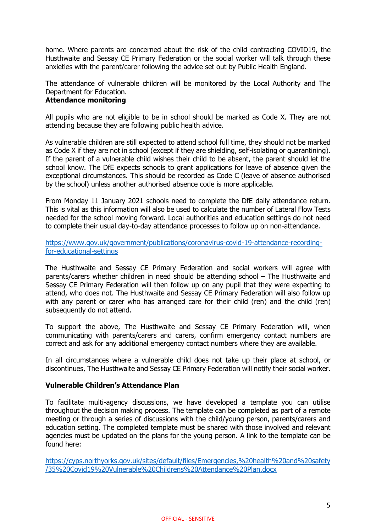home. Where parents are concerned about the risk of the child contracting COVID19, the Husthwaite and Sessay CE Primary Federation or the social worker will talk through these anxieties with the parent/carer following the advice set out by Public Health England.

<span id="page-4-0"></span>The attendance of vulnerable children will be monitored by the Local Authority and The Department for Education.

# **Attendance monitoring**

All pupils who are not eligible to be in school should be marked as Code X. They are not attending because they are following public health advice.

As vulnerable children are still expected to attend school full time, they should not be marked as Code X if they are not in school (except if they are shielding, self-isolating or quarantining). If the parent of a vulnerable child wishes their child to be absent, the parent should let the school know. The DfE expects schools to grant applications for leave of absence given the exceptional circumstances. This should be recorded as Code C (leave of absence authorised by the school) unless another authorised absence code is more applicable.

From Monday 11 January 2021 schools need to complete the DfE daily attendance return. This is vital as this information will also be used to calculate the number of Lateral Flow Tests needed for the school moving forward. Local authorities and education settings do not need to complete their usual day-to-day attendance processes to follow up on non-attendance.

[https://www.gov.uk/government/publications/coronavirus-covid-19-attendance-recording](https://www.gov.uk/government/publications/coronavirus-covid-19-attendance-recording-for-educational-settings)[for-educational-settings](https://www.gov.uk/government/publications/coronavirus-covid-19-attendance-recording-for-educational-settings)

The Husthwaite and Sessay CE Primary Federation and social workers will agree with parents/carers whether children in need should be attending school – The Husthwaite and Sessay CE Primary Federation will then follow up on any pupil that they were expecting to attend, who does not. The Husthwaite and Sessay CE Primary Federation will also follow up with any parent or carer who has arranged care for their child (ren) and the child (ren) subsequently do not attend.

To support the above, The Husthwaite and Sessay CE Primary Federation will, when communicating with parents/carers and carers, confirm emergency contact numbers are correct and ask for any additional emergency contact numbers where they are available.

In all circumstances where a vulnerable child does not take up their place at school, or discontinues, The Husthwaite and Sessay CE Primary Federation will notify their social worker.

#### **Vulnerable Children's Attendance Plan**

To facilitate multi-agency discussions, we have developed a template you can utilise throughout the decision making process. The template can be completed as part of a remote meeting or through a series of discussions with the child/young person, parents/carers and education setting. The completed template must be shared with those involved and relevant agencies must be updated on the plans for the young person. A link to the template can be found here:

[https://cyps.northyorks.gov.uk/sites/default/files/Emergencies,%20health%20and%20safety](https://cyps.northyorks.gov.uk/sites/default/files/Emergencies,%20health%20and%20safety/35%20Covid19%20Vulnerable%20Childrens%20Attendance%20Plan.docx) [/35%20Covid19%20Vulnerable%20Childrens%20Attendance%20Plan.docx](https://cyps.northyorks.gov.uk/sites/default/files/Emergencies,%20health%20and%20safety/35%20Covid19%20Vulnerable%20Childrens%20Attendance%20Plan.docx)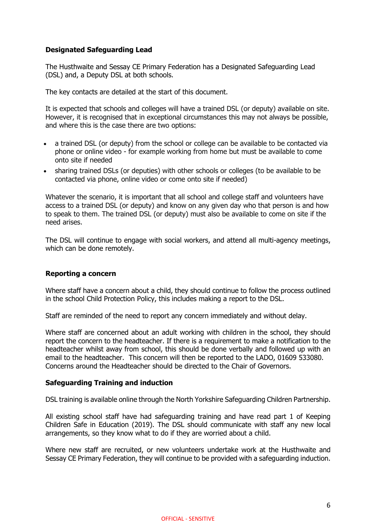# <span id="page-5-0"></span>**Designated Safeguarding Lead**

The Husthwaite and Sessay CE Primary Federation has a Designated Safeguarding Lead (DSL) and, a Deputy DSL at both schools.

The key contacts are detailed at the start of this document.

It is expected that schools and colleges will have a trained DSL (or deputy) available on site. However, it is recognised that in exceptional circumstances this may not always be possible, and where this is the case there are two options:

- a trained DSL (or deputy) from the school or college can be available to be contacted via phone or online video - for example working from home but must be available to come onto site if needed
- sharing trained DSLs (or deputies) with other schools or colleges (to be available to be contacted via phone, online video or come onto site if needed)

Whatever the scenario, it is important that all school and college staff and volunteers have access to a trained DSL (or deputy) and know on any given day who that person is and how to speak to them. The trained DSL (or deputy) must also be available to come on site if the need arises.

The DSL will continue to engage with social workers, and attend all multi-agency meetings, which can be done remotely.

#### <span id="page-5-1"></span>**Reporting a concern**

Where staff have a concern about a child, they should continue to follow the process outlined in the school Child Protection Policy, this includes making a report to the DSL.

Staff are reminded of the need to report any concern immediately and without delay.

Where staff are concerned about an adult working with children in the school, they should report the concern to the headteacher. If there is a requirement to make a notification to the headteacher whilst away from school, this should be done verbally and followed up with an email to the headteacher. This concern will then be reported to the LADO, 01609 533080. Concerns around the Headteacher should be directed to the Chair of Governors.

#### <span id="page-5-2"></span>**Safeguarding Training and induction**

DSL training is available online through the North Yorkshire Safeguarding Children Partnership.

All existing school staff have had safeguarding training and have read part 1 of Keeping Children Safe in Education (2019). The DSL should communicate with staff any new local arrangements, so they know what to do if they are worried about a child.

Where new staff are recruited, or new volunteers undertake work at the Husthwaite and Sessay CE Primary Federation, they will continue to be provided with a safeguarding induction.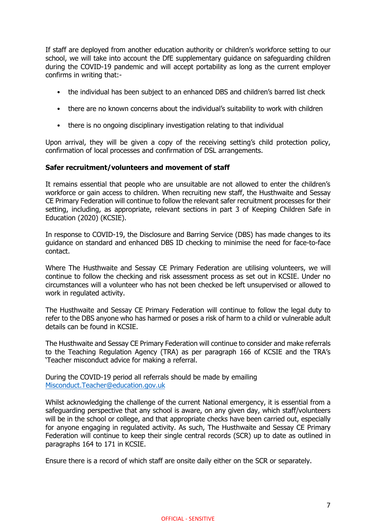If staff are deployed from another education authority or children's workforce setting to our school, we will take into account the DfE supplementary guidance on safeguarding children during the COVID-19 pandemic and will accept portability as long as the current employer confirms in writing that:-

- the individual has been subject to an enhanced DBS and children's barred list check
- there are no known concerns about the individual's suitability to work with children
- there is no ongoing disciplinary investigation relating to that individual

Upon arrival, they will be given a copy of the receiving setting's child protection policy, confirmation of local processes and confirmation of DSL arrangements.

#### <span id="page-6-0"></span>**Safer recruitment/volunteers and movement of staff**

It remains essential that people who are unsuitable are not allowed to enter the children's workforce or gain access to children. When recruiting new staff, the Husthwaite and Sessay CE Primary Federation will continue to follow the relevant safer recruitment processes for their setting, including, as appropriate, relevant sections in part 3 of Keeping Children Safe in Education (2020) (KCSIE).

In response to COVID-19, the Disclosure and Barring Service (DBS) has made changes to its guidance on standard and enhanced DBS ID checking to minimise the need for face-to-face contact.

Where The Husthwaite and Sessay CE Primary Federation are utilising volunteers, we will continue to follow the checking and risk assessment process as set out in KCSIE. Under no circumstances will a volunteer who has not been checked be left unsupervised or allowed to work in regulated activity.

The Husthwaite and Sessay CE Primary Federation will continue to follow the legal duty to refer to the DBS anyone who has harmed or poses a risk of harm to a child or vulnerable adult details can be found in KCSIE.

The Husthwaite and Sessay CE Primary Federation will continue to consider and make referrals to the Teaching Regulation Agency (TRA) as per paragraph 166 of KCSIE and the TRA's 'Teacher misconduct advice for making a referral.

During the COVID-19 period all referrals should be made by emailing [Misconduct.Teacher@education.gov.uk](mailto:Misconduct.Teacher@education.gov.uk)

Whilst acknowledging the challenge of the current National emergency, it is essential from a safeguarding perspective that any school is aware, on any given day, which staff/volunteers will be in the school or college, and that appropriate checks have been carried out, especially for anyone engaging in regulated activity. As such, The Husthwaite and Sessay CE Primary Federation will continue to keep their single central records (SCR) up to date as outlined in paragraphs 164 to 171 in KCSIE.

Ensure there is a record of which staff are onsite daily either on the SCR or separately.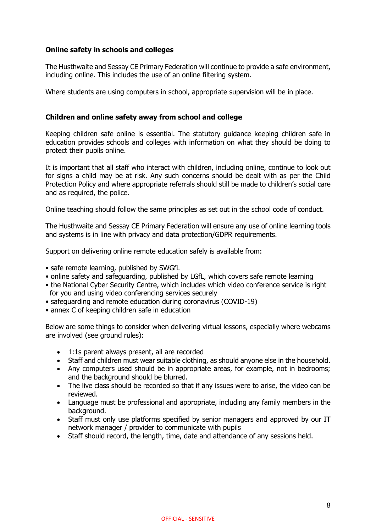## <span id="page-7-0"></span>**Online safety in schools and colleges**

The Husthwaite and Sessay CE Primary Federation will continue to provide a safe environment, including online. This includes the use of an online filtering system.

Where students are using computers in school, appropriate supervision will be in place.

#### <span id="page-7-1"></span>**Children and online safety away from school and college**

Keeping children safe online is essential. The statutory guidance keeping children safe in education provides schools and colleges with information on what they should be doing to protect their pupils online.

It is important that all staff who interact with children, including online, continue to look out for signs a child may be at risk. Any such concerns should be dealt with as per the Child Protection Policy and where appropriate referrals should still be made to children's social care and as required, the police.

Online teaching should follow the same principles as set out in the school code of conduct.

The Husthwaite and Sessay CE Primary Federation will ensure any use of online learning tools and systems is in line with privacy and data protection/GDPR requirements.

Support on delivering online remote education safely is available from:

- safe remote learning, published by SWGfL
- online safety and safeguarding, published by LGfL, which covers safe remote learning
- the National Cyber Security Centre, which includes which video conference service is right for you and using video conferencing services securely
- safeguarding and remote education during coronavirus (COVID-19)
- annex C of keeping children safe in education

Below are some things to consider when delivering virtual lessons, especially where webcams are involved (see ground rules):

- 1:1s parent always present, all are recorded
- Staff and children must wear suitable clothing, as should anyone else in the household.
- Any computers used should be in appropriate areas, for example, not in bedrooms; and the background should be blurred.
- The live class should be recorded so that if any issues were to arise, the video can be reviewed.
- Language must be professional and appropriate, including any family members in the background.
- Staff must only use platforms specified by senior managers and approved by our IT network manager / provider to communicate with pupils
- Staff should record, the length, time, date and attendance of any sessions held.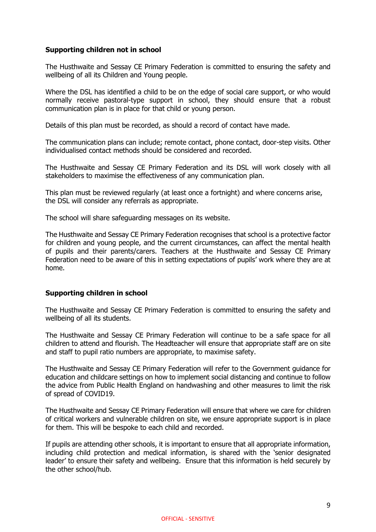## <span id="page-8-0"></span>**Supporting children not in school**

The Husthwaite and Sessay CE Primary Federation is committed to ensuring the safety and wellbeing of all its Children and Young people.

Where the DSL has identified a child to be on the edge of social care support, or who would normally receive pastoral-type support in school, they should ensure that a robust communication plan is in place for that child or young person.

Details of this plan must be recorded, as should a record of contact have made.

The communication plans can include; remote contact, phone contact, door-step visits. Other individualised contact methods should be considered and recorded.

The Husthwaite and Sessay CE Primary Federation and its DSL will work closely with all stakeholders to maximise the effectiveness of any communication plan.

This plan must be reviewed regularly (at least once a fortnight) and where concerns arise, the DSL will consider any referrals as appropriate.

The school will share safeguarding messages on its website.

The Husthwaite and Sessay CE Primary Federation recognises that school is a protective factor for children and young people, and the current circumstances, can affect the mental health of pupils and their parents/carers. Teachers at the Husthwaite and Sessay CE Primary Federation need to be aware of this in setting expectations of pupils' work where they are at home.

#### <span id="page-8-1"></span>**Supporting children in school**

The Husthwaite and Sessay CE Primary Federation is committed to ensuring the safety and wellbeing of all its students.

The Husthwaite and Sessay CE Primary Federation will continue to be a safe space for all children to attend and flourish. The Headteacher will ensure that appropriate staff are on site and staff to pupil ratio numbers are appropriate, to maximise safety.

The Husthwaite and Sessay CE Primary Federation will refer to the Government guidance for education and childcare settings on how to implement social distancing and continue to follow the advice from Public Health England on handwashing and other measures to limit the risk of spread of COVID19.

The Husthwaite and Sessay CE Primary Federation will ensure that where we care for children of critical workers and vulnerable children on site, we ensure appropriate support is in place for them. This will be bespoke to each child and recorded.

If pupils are attending other schools, it is important to ensure that all appropriate information, including child protection and medical information, is shared with the 'senior designated leader' to ensure their safety and wellbeing. Ensure that this information is held securely by the other school/hub.